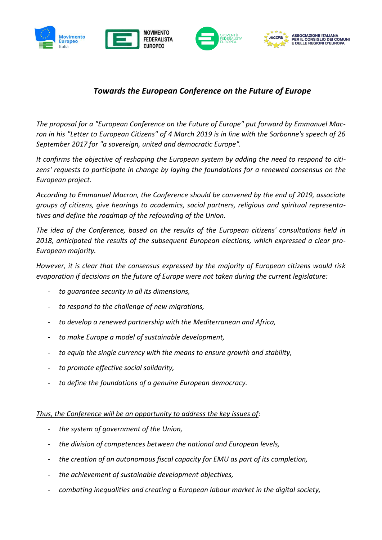

## *Towards the European Conference on the Future of Europe*

*The proposal for a "European Conference on the Future of Europe" put forward by Emmanuel Macron in his "Letter to European Citizens" of 4 March 2019 is in line with the Sorbonne's speech of 26 September 2017 for "a sovereign, united and democratic Europe".*

*It confirms the objective of reshaping the European system by adding the need to respond to citizens' requests to participate in change by laying the foundations for a renewed consensus on the European project.*

*According to Emmanuel Macron, the Conference should be convened by the end of 2019, associate groups of citizens, give hearings to academics, social partners, religious and spiritual representatives and define the roadmap of the refounding of the Union.*

*The idea of the Conference, based on the results of the European citizens' consultations held in 2018, anticipated the results of the subsequent European elections, which expressed a clear pro-European majority.*

*However, it is clear that the consensus expressed by the majority of European citizens would risk evaporation if decisions on the future of Europe were not taken during the current legislature:*

- *to guarantee security in all its dimensions,*
- *to respond to the challenge of new migrations,*
- *to develop a renewed partnership with the Mediterranean and Africa,*
- *to make Europe a model of sustainable development,*
- *to equip the single currency with the means to ensure growth and stability,*
- *to promote effective social solidarity,*
- *to define the foundations of a genuine European democracy.*

## *Thus, the Conference will be an opportunity to address the key issues of:*

- *the system of government of the Union,*
- *the division of competences between the national and European levels,*
- *the creation of an autonomous fiscal capacity for EMU as part of its completion,*
- *the achievement of sustainable development objectives,*
- *combating inequalities and creating a European labour market in the digital society,*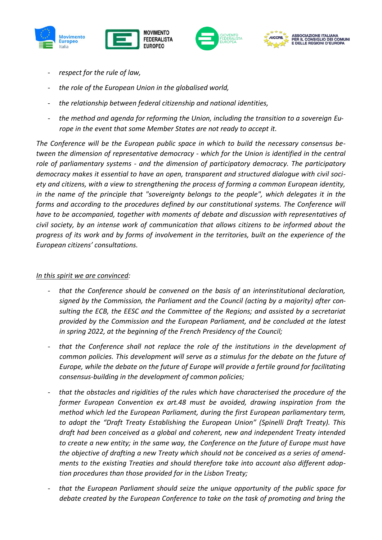





- *respect for the rule of law,*
- *the role of the European Union in the globalised world,*
- *the relationship between federal citizenship and national identities,*
- *the method and agenda for reforming the Union, including the transition to a sovereign Europe in the event that some Member States are not ready to accept it.*

*The Conference will be the European public space in which to build the necessary consensus between the dimension of representative democracy - which for the Union is identified in the central role of parliamentary systems - and the dimension of participatory democracy. The participatory democracy makes it essential to have an open, transparent and structured dialogue with civil society and citizens, with a view to strengthening the process of forming a common European identity, in the name of the principle that "sovereignty belongs to the people", which delegates it in the forms and according to the procedures defined by our constitutional systems. The Conference will have to be accompanied, together with moments of debate and discussion with representatives of civil society, by an intense work of communication that allows citizens to be informed about the progress of its work and by forms of involvement in the territories, built on the experience of the European citizens' consultations.*

## *In this spirit we are convinced:*

- *that the Conference should be convened on the basis of an interinstitutional declaration, signed by the Commission, the Parliament and the Council (acting by a majority) after consulting the ECB, the EESC and the Committee of the Regions; and assisted by a secretariat provided by the Commission and the European Parliament, and be concluded at the latest in spring 2022, at the beginning of the French Presidency of the Council;*
- *that the Conference shall not replace the role of the institutions in the development of common policies. This development will serve as a stimulus for the debate on the future of Europe, while the debate on the future of Europe will provide a fertile ground for facilitating consensus-building in the development of common policies;*
- *that the obstacles and rigidities of the rules which have characterised the procedure of the former European Convention ex art.48 must be avoided, drawing inspiration from the method which led the European Parliament, during the first European parliamentary term, to adopt the "Draft Treaty Establishing the European Union" (Spinelli Draft Treaty). This draft had been conceived as a global and coherent, new and independent Treaty intended to create a new entity; in the same way, the Conference on the future of Europe must have the objective of drafting a new Treaty which should not be conceived as a series of amendments to the existing Treaties and should therefore take into account also different adoption procedures than those provided for in the Lisbon Treaty;*
- *that the European Parliament should seize the unique opportunity of the public space for debate created by the European Conference to take on the task of promoting and bring the*